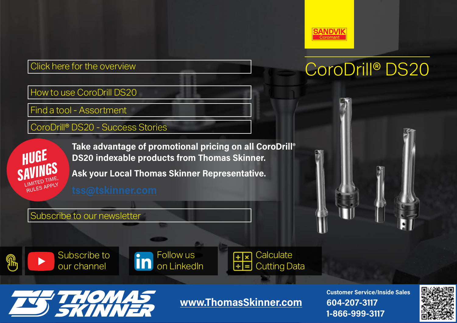

## Click here for [the overview](https://www.sandvik.coromant.com/en-us/products/corodrill_ds20/?utm_source=pg&utm_medium=link&utm_campaign=22003_global_pg)

How to use [CoroDrill DS20](https://www.sandvik.coromant.com/en-us/products/corodrill_ds20/pages/how-to-use.aspx?utm_source=pg&utm_medium=link&utm_campaign=22003_global_pg)

Find a tool - [Assortment](https://www.sandvik.coromant.com/en-us/products/corodrill_ds20/pages/assortment.aspx?utm_source=pg&utm_medium=link&utm_campaign=22003_global_pg)

## CoroDrill® DS20 [- Success Stories](https://www.sandvik.coromant.com/en-us/products/corodrill_ds20/pages/success-stories.aspx?utm_source=pg&utm_medium=link&utm_campaign=22003_global_pg)



**Take advantage of promotional pricing on all CoroDrill® DS20 indexable products from Thomas Skinner.**

**Ask your Local Thomas Skinner Representative.**

## [Subscribe to our newsletter](https://go.sandvik.coromant.com/Newsletter-Registration-Page.html?utm_source=pg&utm_medium=link&utm_campaign=22003_global_pg)









**[www.ThomasSkinner.com](http://www.ThomasSkinner.com)**

**Customer Service/Inside Sales 604-207-3117 1-866-999-3117**



# CoroDrill® DS20